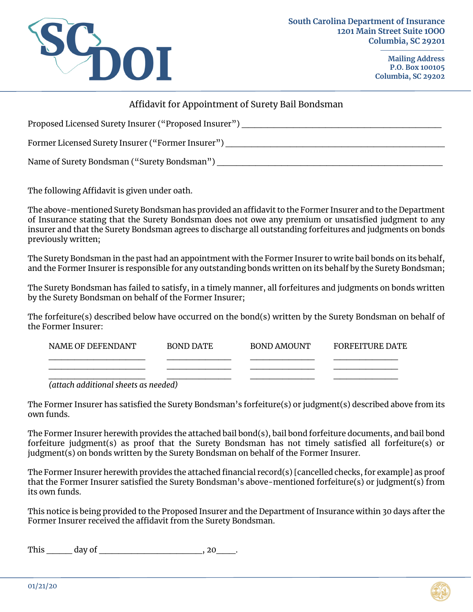

**Mailing Address P.O. Box 100105 Columbia, SC 29202** 

## Affidavit for Appointment of Surety Bail Bondsman

| Proposed Licensed Surety Insurer ("Proposed Insurer") |
|-------------------------------------------------------|
| Former Licensed Surety Insurer ("Former Insurer")     |
| Name of Surety Bondsman ("Surety Bondsman")           |

The following Affidavit is given under oath.

The above-mentioned Surety Bondsman has provided an affidavit to the Former Insurer and to the Department of Insurance stating that the Surety Bondsman does not owe any premium or unsatisfied judgment to any insurer and that the Surety Bondsman agrees to discharge all outstanding forfeitures and judgments on bonds previously written;

The Surety Bondsman in the past had an appointment with the Former Insurer to write bail bonds on its behalf, and the Former Insurer is responsible for any outstanding bonds written on its behalf by the Surety Bondsman;

The Surety Bondsman has failed to satisfy, in a timely manner, all forfeitures and judgments on bonds written by the Surety Bondsman on behalf of the Former Insurer;

The forfeiture(s) described below have occurred on the bond(s) written by the Surety Bondsman on behalf of the Former Insurer:

| NAME OF DEFENDANT | <b>BOND DATE</b>        | BOND AMOUNT | <b>FORFEITURE DATE</b> |
|-------------------|-------------------------|-------------|------------------------|
|                   |                         |             |                        |
|                   |                         |             |                        |
| $\mathbf{1}$      | $\overline{\mathbf{1}}$ |             |                        |

*(attach additional sheets as needed)* 

The Former Insurer has satisfied the Surety Bondsman's forfeiture(s) or judgment(s) described above from its own funds.

The Former Insurer herewith provides the attached bail bond(s), bail bond forfeiture documents, and bail bond forfeiture judgment(s) as proof that the Surety Bondsman has not timely satisfied all forfeiture(s) or judgment(s) on bonds written by the Surety Bondsman on behalf of the Former Insurer.

The Former Insurer herewith provides the attached financial record(s) [cancelled checks, for example] as proof that the Former Insurer satisfied the Surety Bondsman's above-mentioned forfeiture(s) or judgment(s) from its own funds.

This notice is being provided to the Proposed Insurer and the Department of Insurance within 30 days after the Former Insurer received the affidavit from the Surety Bondsman.

This \_\_\_\_\_\_\_ day of \_\_\_\_\_\_\_\_\_\_\_\_\_\_\_\_\_\_\_\_\_\_\_\_\_\_, 20\_\_\_\_\_.